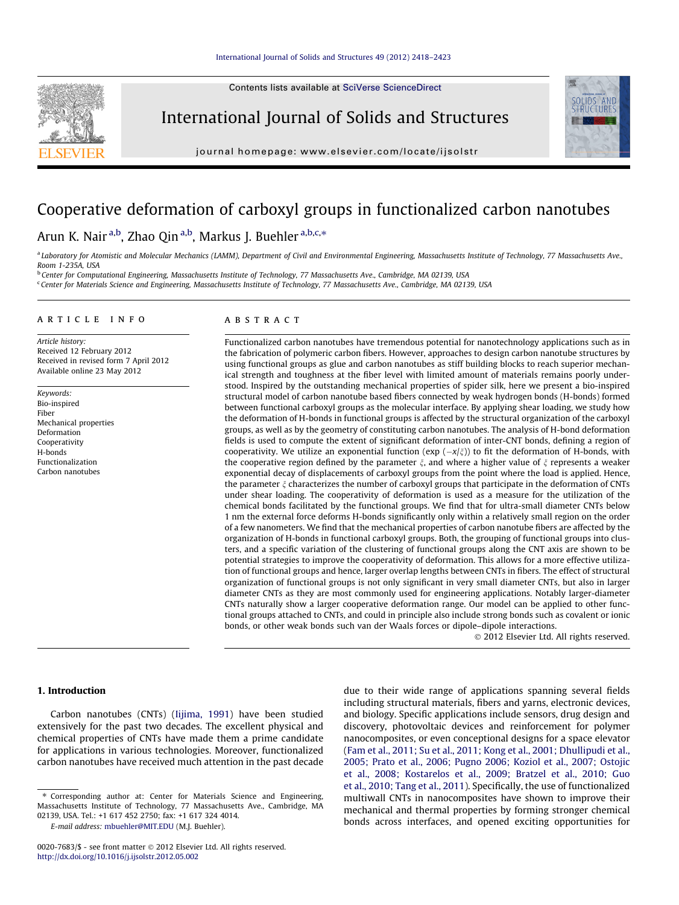Contents lists available at [SciVerse ScienceDirect](http://www.sciencedirect.com/science/journal/00207683)



International Journal of Solids and Structures



journal homepage: [www.elsevier.com/locate/ijsolstr](http://www.elsevier.com/locate/ijsolstr)

# Cooperative deformation of carboxyl groups in functionalized carbon nanotubes

# Arun K. Nair <sup>a,b</sup>, Zhao Qin <sup>a,b</sup>, Markus J. Buehler <sup>a,b,c,</sup>\*

a Laboratory for Atomistic and Molecular Mechanics (LAMM), Department of Civil and Environmental Engineering, Massachusetts Institute of Technology, 77 Massachusetts Ave., Room 1-235A, USA

<sup>b</sup> Center for Computational Engineering, Massachusetts Institute of Technology, 77 Massachusetts Ave., Cambridge, MA 02139, USA <sup>c</sup> Center for Materials Science and Engineering, Massachusetts Institute of Technology, 77 Massachusetts Ave., Cambridge, MA 02139, USA

#### article info

Article history: Received 12 February 2012 Received in revised form 7 April 2012 Available online 23 May 2012

Keywords: Bio-inspired Fiber Mechanical properties Deformation Cooperativity H-bonds Functionalization Carbon nanotubes

#### ABSTRACT

Functionalized carbon nanotubes have tremendous potential for nanotechnology applications such as in the fabrication of polymeric carbon fibers. However, approaches to design carbon nanotube structures by using functional groups as glue and carbon nanotubes as stiff building blocks to reach superior mechanical strength and toughness at the fiber level with limited amount of materials remains poorly understood. Inspired by the outstanding mechanical properties of spider silk, here we present a bio-inspired structural model of carbon nanotube based fibers connected by weak hydrogen bonds (H-bonds) formed between functional carboxyl groups as the molecular interface. By applying shear loading, we study how the deformation of H-bonds in functional groups is affected by the structural organization of the carboxyl groups, as well as by the geometry of constituting carbon nanotubes. The analysis of H-bond deformation fields is used to compute the extent of significant deformation of inter-CNT bonds, defining a region of cooperativity. We utilize an exponential function ( $\exp(-x/\zeta)$ ) to fit the deformation of H-bonds, with the cooperative region defined by the parameter  $\xi$ , and where a higher value of  $\xi$  represents a weaker exponential decay of displacements of carboxyl groups from the point where the load is applied. Hence, the parameter  $\xi$  characterizes the number of carboxyl groups that participate in the deformation of CNTs under shear loading. The cooperativity of deformation is used as a measure for the utilization of the chemical bonds facilitated by the functional groups. We find that for ultra-small diameter CNTs below 1 nm the external force deforms H-bonds significantly only within a relatively small region on the order of a few nanometers. We find that the mechanical properties of carbon nanotube fibers are affected by the organization of H-bonds in functional carboxyl groups. Both, the grouping of functional groups into clusters, and a specific variation of the clustering of functional groups along the CNT axis are shown to be potential strategies to improve the cooperativity of deformation. This allows for a more effective utilization of functional groups and hence, larger overlap lengths between CNTs in fibers. The effect of structural organization of functional groups is not only significant in very small diameter CNTs, but also in larger diameter CNTs as they are most commonly used for engineering applications. Notably larger-diameter CNTs naturally show a larger cooperative deformation range. Our model can be applied to other functional groups attached to CNTs, and could in principle also include strong bonds such as covalent or ionic bonds, or other weak bonds such van der Waals forces or dipole–dipole interactions.

- 2012 Elsevier Ltd. All rights reserved.

## 1. Introduction

Carbon nanotubes (CNTs) ([Iijima, 1991\)](#page-5-0) have been studied extensively for the past two decades. The excellent physical and chemical properties of CNTs have made them a prime candidate for applications in various technologies. Moreover, functionalized carbon nanotubes have received much attention in the past decade

E-mail address: [mbuehler@MIT.EDU](mailto:mbuehler@MIT.EDU) (M.J. Buehler).

due to their wide range of applications spanning several fields including structural materials, fibers and yarns, electronic devices, and biology. Specific applications include sensors, drug design and discovery, photovoltaic devices and reinforcement for polymer nanocomposites, or even conceptional designs for a space elevator ([Fam et al., 2011; Su et al., 2011; Kong et al., 2001; Dhullipudi et al.,](#page-5-0) [2005; Prato et al., 2006; Pugno 2006; Koziol et al., 2007; Ostojic](#page-5-0) [et al., 2008; Kostarelos et al., 2009; Bratzel et al., 2010; Guo](#page-5-0) [et al., 2010; Tang et al., 2011\)](#page-5-0). Specifically, the use of functionalized multiwall CNTs in nanocomposites have shown to improve their mechanical and thermal properties by forming stronger chemical bonds across interfaces, and opened exciting opportunities for

<sup>⇑</sup> Corresponding author at: Center for Materials Science and Engineering, Massachusetts Institute of Technology, 77 Massachusetts Ave., Cambridge, MA 02139, USA. Tel.: +1 617 452 2750; fax: +1 617 324 4014.

<sup>0020-7683/\$ -</sup> see front matter © 2012 Elsevier Ltd. All rights reserved. <http://dx.doi.org/10.1016/j.ijsolstr.2012.05.002>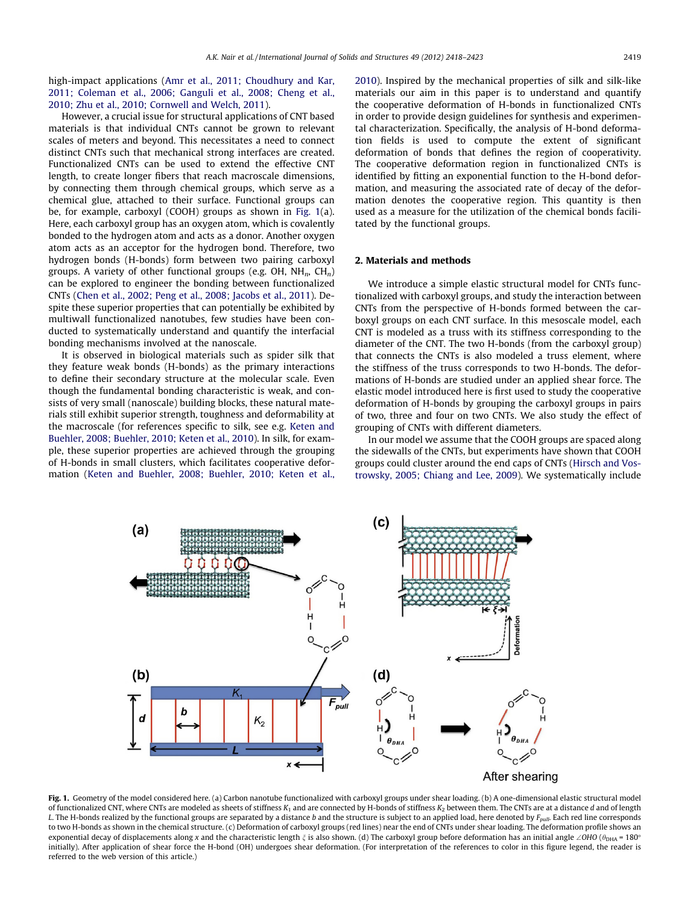<span id="page-1-0"></span>high-impact applications ([Amr et al., 2011; Choudhury and Kar,](#page-5-0) [2011; Coleman et al., 2006; Ganguli et al., 2008; Cheng et al.,](#page-5-0) [2010; Zhu et al., 2010; Cornwell and Welch, 2011\)](#page-5-0).

However, a crucial issue for structural applications of CNT based materials is that individual CNTs cannot be grown to relevant scales of meters and beyond. This necessitates a need to connect distinct CNTs such that mechanical strong interfaces are created. Functionalized CNTs can be used to extend the effective CNT length, to create longer fibers that reach macroscale dimensions, by connecting them through chemical groups, which serve as a chemical glue, attached to their surface. Functional groups can be, for example, carboxyl (COOH) groups as shown in Fig. 1(a). Here, each carboxyl group has an oxygen atom, which is covalently bonded to the hydrogen atom and acts as a donor. Another oxygen atom acts as an acceptor for the hydrogen bond. Therefore, two hydrogen bonds (H-bonds) form between two pairing carboxyl groups. A variety of other functional groups (e.g. OH,  $NH_n$ , CH<sub>n</sub>) can be explored to engineer the bonding between functionalized CNTs [\(Chen et al., 2002; Peng et al., 2008; Jacobs et al., 2011\)](#page-5-0). Despite these superior properties that can potentially be exhibited by multiwall functionalized nanotubes, few studies have been conducted to systematically understand and quantify the interfacial bonding mechanisms involved at the nanoscale.

It is observed in biological materials such as spider silk that they feature weak bonds (H-bonds) as the primary interactions to define their secondary structure at the molecular scale. Even though the fundamental bonding characteristic is weak, and consists of very small (nanoscale) building blocks, these natural materials still exhibit superior strength, toughness and deformability at the macroscale (for references specific to silk, see e.g. [Keten and](#page-5-0) [Buehler, 2008; Buehler, 2010; Keten et al., 2010\)](#page-5-0). In silk, for example, these superior properties are achieved through the grouping of H-bonds in small clusters, which facilitates cooperative deformation ([Keten and Buehler, 2008; Buehler, 2010; Keten et al.,](#page-5-0) [2010](#page-5-0)). Inspired by the mechanical properties of silk and silk-like materials our aim in this paper is to understand and quantify the cooperative deformation of H-bonds in functionalized CNTs in order to provide design guidelines for synthesis and experimental characterization. Specifically, the analysis of H-bond deformation fields is used to compute the extent of significant deformation of bonds that defines the region of cooperativity. The cooperative deformation region in functionalized CNTs is identified by fitting an exponential function to the H-bond deformation, and measuring the associated rate of decay of the deformation denotes the cooperative region. This quantity is then used as a measure for the utilization of the chemical bonds facilitated by the functional groups.

#### 2. Materials and methods

We introduce a simple elastic structural model for CNTs functionalized with carboxyl groups, and study the interaction between CNTs from the perspective of H-bonds formed between the carboxyl groups on each CNT surface. In this mesoscale model, each CNT is modeled as a truss with its stiffness corresponding to the diameter of the CNT. The two H-bonds (from the carboxyl group) that connects the CNTs is also modeled a truss element, where the stiffness of the truss corresponds to two H-bonds. The deformations of H-bonds are studied under an applied shear force. The elastic model introduced here is first used to study the cooperative deformation of H-bonds by grouping the carboxyl groups in pairs of two, three and four on two CNTs. We also study the effect of grouping of CNTs with different diameters.

In our model we assume that the COOH groups are spaced along the sidewalls of the CNTs, but experiments have shown that COOH groups could cluster around the end caps of CNTs ([Hirsch and Vos](#page-5-0)[trowsky, 2005; Chiang and Lee, 2009\)](#page-5-0). We systematically include



Fig. 1. Geometry of the model considered here. (a) Carbon nanotube functionalized with carboxyl groups under shear loading. (b) A one-dimensional elastic structural model of functionalized CNT, where CNTs are modeled as sheets of stiffness  $K_1$  and are connected by H-bonds of stiffness  $K_2$  between them. The CNTs are at a distance d and of length L. The H-bonds realized by the functional groups are separated by a distance b and the structure is subject to an applied load, here denoted by  $F_{null}$ . Each red line corresponds to two H-bonds as shown in the chemical structure. (c) Deformation of carboxyl groups (red lines) near the end of CNTs under shear loading. The deformation profile shows an exponential decay of displacements along x and the characteristic length  $\xi$  is also shown. (d) The carboxyl group before deformation has an initial angle  $\angle$ OHO ( $\theta_{\text{DHA}}$  = 180 $^{\circ}$ initially). After application of shear force the H-bond (OH) undergoes shear deformation. (For interpretation of the references to color in this figure legend, the reader is referred to the web version of this article.)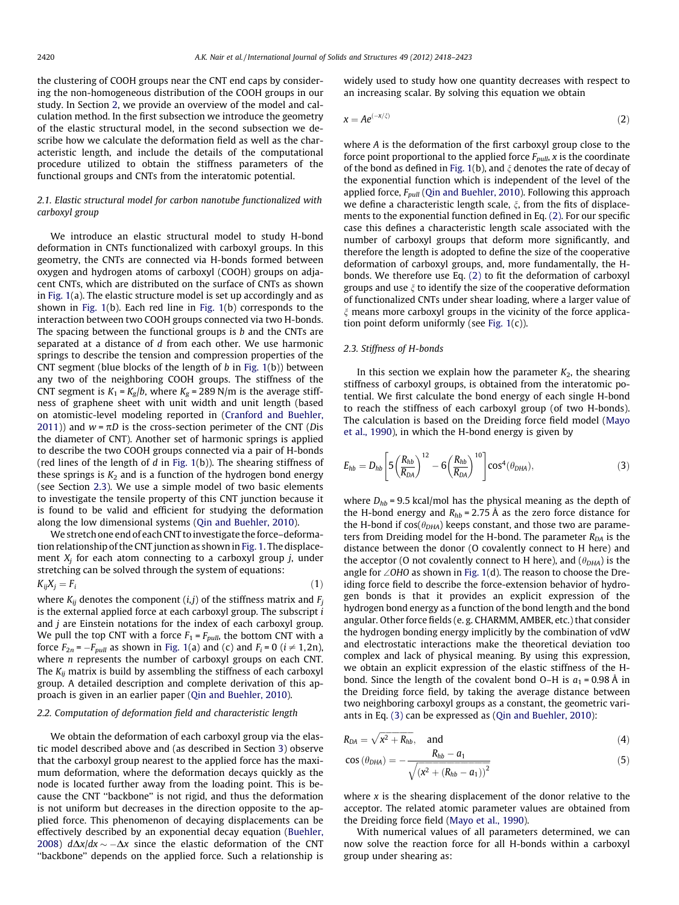<span id="page-2-0"></span>the clustering of COOH groups near the CNT end caps by considering the non-homogeneous distribution of the COOH groups in our study. In Section [2](#page-1-0), we provide an overview of the model and calculation method. In the first subsection we introduce the geometry of the elastic structural model, in the second subsection we describe how we calculate the deformation field as well as the characteristic length, and include the details of the computational procedure utilized to obtain the stiffness parameters of the functional groups and CNTs from the interatomic potential.

#### 2.1. Elastic structural model for carbon nanotube functionalized with carboxyl group

We introduce an elastic structural model to study H-bond deformation in CNTs functionalized with carboxyl groups. In this geometry, the CNTs are connected via H-bonds formed between oxygen and hydrogen atoms of carboxyl (COOH) groups on adjacent CNTs, which are distributed on the surface of CNTs as shown in [Fig. 1](#page-1-0)(a). The elastic structure model is set up accordingly and as shown in [Fig. 1](#page-1-0)(b). Each red line in [Fig. 1\(](#page-1-0)b) corresponds to the interaction between two COOH groups connected via two H-bonds. The spacing between the functional groups is b and the CNTs are separated at a distance of d from each other. We use harmonic springs to describe the tension and compression properties of the CNT segment (blue blocks of the length of  $b$  in [Fig. 1\(](#page-1-0)b)) between any two of the neighboring COOH groups. The stiffness of the CNT segment is  $K_1 = K_g/b$ , where  $K_g = 289$  N/m is the average stiffness of graphene sheet with unit width and unit length (based on atomistic-level modeling reported in ([Cranford and Buehler,](#page-5-0) [2011\)](#page-5-0)) and  $w = \pi D$  is the cross-section perimeter of the CNT (Dis the diameter of CNT). Another set of harmonic springs is applied to describe the two COOH groups connected via a pair of H-bonds (red lines of the length of  $d$  in [Fig. 1](#page-1-0)(b)). The shearing stiffness of these springs is  $K_2$  and is a function of the hydrogen bond energy (see Section 2.3). We use a simple model of two basic elements to investigate the tensile property of this CNT junction because it is found to be valid and efficient for studying the deformation along the low dimensional systems ([Qin and Buehler, 2010\)](#page-5-0).

We stretch one end of each CNT to investigate the force–deformation relationship of the CNT junction as shown in [Fig. 1](#page-1-0). The displacement  $X_i$  for each atom connecting to a carboxyl group j, under stretching can be solved through the system of equations:

$$
K_{ij}X_j = F_i \tag{1}
$$

where  $K_{ij}$  denotes the component  $(i,j)$  of the stiffness matrix and  $F_j$ is the external applied force at each carboxyl group. The subscript i and j are Einstein notations for the index of each carboxyl group. We pull the top CNT with a force  $F_1 = F_{pull}$ , the bottom CNT with a force  $F_{2n}$  =  $-F_{pull}$  as shown in [Fig. 1](#page-1-0)(a) and (c) and  $F_i$  = 0 ( $i \neq 1, 2n$ ), where *n* represents the number of carboxyl groups on each CNT. The  $K_{ii}$  matrix is build by assembling the stiffness of each carboxyl group. A detailed description and complete derivation of this approach is given in an earlier paper ([Qin and Buehler, 2010\)](#page-5-0).

#### 2.2. Computation of deformation field and characteristic length

We obtain the deformation of each carboxyl group via the elastic model described above and (as described in Section [3\)](#page-3-0) observe that the carboxyl group nearest to the applied force has the maximum deformation, where the deformation decays quickly as the node is located further away from the loading point. This is because the CNT ''backbone'' is not rigid, and thus the deformation is not uniform but decreases in the direction opposite to the applied force. This phenomenon of decaying displacements can be effectively described by an exponential decay equation ([Buehler,](#page-5-0) [2008\)](#page-5-0)  $d\Delta x/dx \sim -\Delta x$  since the elastic deformation of the CNT ''backbone'' depends on the applied force. Such a relationship is

widely used to study how one quantity decreases with respect to an increasing scalar. By solving this equation we obtain

$$
x = Ae^{(-x/\xi)} \tag{2}
$$

where A is the deformation of the first carboxyl group close to the force point proportional to the applied force  $F_{null}$ , x is the coordinate of the bond as defined in [Fig. 1](#page-1-0)(b), and  $\xi$  denotes the rate of decay of the exponential function which is independent of the level of the applied force,  $F_{pull}$  [\(Qin and Buehler, 2010](#page-5-0)). Following this approach we define a characteristic length scale,  $\xi$ , from the fits of displacements to the exponential function defined in Eq. (2). For our specific case this defines a characteristic length scale associated with the number of carboxyl groups that deform more significantly, and therefore the length is adopted to define the size of the cooperative deformation of carboxyl groups, and, more fundamentally, the Hbonds. We therefore use Eq. (2) to fit the deformation of carboxyl groups and use  $\xi$  to identify the size of the cooperative deformation of functionalized CNTs under shear loading, where a larger value of  $\xi$  means more carboxyl groups in the vicinity of the force application point deform uniformly (see [Fig. 1\(](#page-1-0)c)).

#### 2.3. Stiffness of H-bonds

In this section we explain how the parameter  $K_2$ , the shearing stiffness of carboxyl groups, is obtained from the interatomic potential. We first calculate the bond energy of each single H-bond to reach the stiffness of each carboxyl group (of two H-bonds). The calculation is based on the Dreiding force field model ([Mayo](#page-5-0) [et al., 1990\)](#page-5-0), in which the H-bond energy is given by

$$
E_{hb} = D_{hb} \left[ 5 \left( \frac{R_{hb}}{R_{DA}} \right)^{12} - 6 \left( \frac{R_{hb}}{R_{DA}} \right)^{10} \right] \cos^4(\theta_{DHA}), \tag{3}
$$

where  $D_{hb}$  = 9.5 kcal/mol has the physical meaning as the depth of the H-bond energy and  $R_{hb} = 2.75 \text{ Å}$  as the zero force distance for the H-bond if  $cos(\theta_{DHA})$  keeps constant, and those two are parameters from Dreiding model for the H-bond. The parameter  $R_{DA}$  is the distance between the donor (O covalently connect to H here) and the acceptor (O not covalently connect to H here), and  $(\theta_{DHA})$  is the angle for  $\angle$ OHO as shown in [Fig. 1](#page-1-0)(d). The reason to choose the Dreiding force field to describe the force-extension behavior of hydrogen bonds is that it provides an explicit expression of the hydrogen bond energy as a function of the bond length and the bond angular. Other force fields (e. g. CHARMM, AMBER, etc.) that consider the hydrogen bonding energy implicitly by the combination of vdW and electrostatic interactions make the theoretical deviation too complex and lack of physical meaning. By using this expression, we obtain an explicit expression of the elastic stiffness of the Hbond. Since the length of the covalent bond O–H is  $a_1 = 0.98$  Å in the Dreiding force field, by taking the average distance between two neighboring carboxyl groups as a constant, the geometric variants in Eq. (3) can be expressed as [\(Qin and Buehler, 2010\)](#page-5-0):

$$
R_{DA} = \sqrt{x^2 + R_{hb}}, \quad \text{and} \tag{4}
$$

$$
\cos\left(\theta_{\text{DHA}}\right) = -\frac{R_{hb} - a_1}{\sqrt{\left(x^2 + \left(R_{hb} - a_1\right)\right)^2}}\tag{5}
$$

where  $x$  is the shearing displacement of the donor relative to the acceptor. The related atomic parameter values are obtained from the Dreiding force field ([Mayo et al., 1990\)](#page-5-0).

With numerical values of all parameters determined, we can now solve the reaction force for all H-bonds within a carboxyl group under shearing as: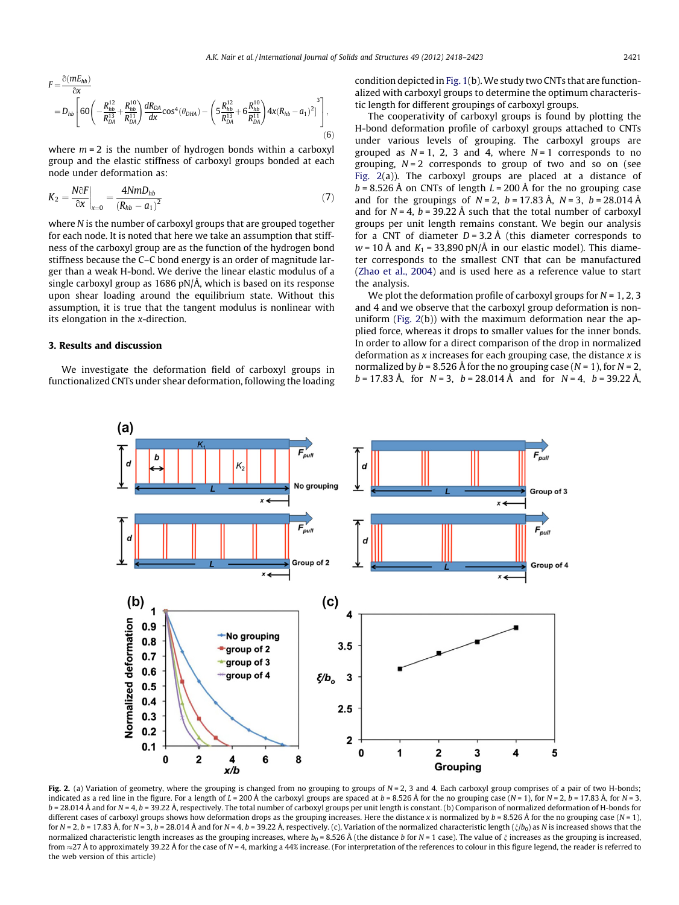<span id="page-3-0"></span>
$$
F = \frac{\partial (mE_{hb})}{\partial x}
$$
  
=  $D_{hb} \left[ 60 \left( -\frac{R_{hb}^{12}}{R_{DA}^{13}} + \frac{R_{hb}^{10}}{R_{DA}^{11}} \right) \frac{dR_{DA}}{dx} \cos^4(\theta_{DHA}) - \left( 5 \frac{R_{hb}^{12}}{R_{DA}^{13}} + 6 \frac{R_{hb}^{10}}{R_{DA}^{11}} \right) 4x (R_{hb} - a_1)^2 \right] \right],$   
(6)

where  $m = 2$  is the number of hydrogen bonds within a carboxyl group and the elastic stiffness of carboxyl groups bonded at each node under deformation as:

$$
K_2 = \frac{N \partial F}{\partial x}\Big|_{x=0} = \frac{4 N m D_{hb}}{(R_{hb} - a_1)^2}
$$
 (7)

where N is the number of carboxyl groups that are grouped together for each node. It is noted that here we take an assumption that stiffness of the carboxyl group are as the function of the hydrogen bond stiffness because the C–C bond energy is an order of magnitude larger than a weak H-bond. We derive the linear elastic modulus of a single carboxyl group as 1686 pN/Å, which is based on its response upon shear loading around the equilibrium state. Without this assumption, it is true that the tangent modulus is nonlinear with its elongation in the x-direction.

# 3. Results and discussion

We investigate the deformation field of carboxyl groups in functionalized CNTs under shear deformation, following the loading condition depicted in [Fig. 1\(](#page-1-0)b).We study two CNTs that are functionalized with carboxyl groups to determine the optimum characteristic length for different groupings of carboxyl groups.

The cooperativity of carboxyl groups is found by plotting the H-bond deformation profile of carboxyl groups attached to CNTs under various levels of grouping. The carboxyl groups are grouped as  $N = 1$ , 2, 3 and 4, where  $N = 1$  corresponds to no grouping,  $N = 2$  corresponds to group of two and so on (see Fig. 2(a)). The carboxyl groups are placed at a distance of  $b = 8.526$  Å on CNTs of length  $L = 200$  Å for the no grouping case and for the groupings of  $N = 2$ ,  $b = 17.83 \text{ Å}$ ,  $N = 3$ ,  $b = 28.014 \text{ Å}$ and for  $N = 4$ ,  $b = 39.22$  Å such that the total number of carboxyl groups per unit length remains constant. We begin our analysis for a CNT of diameter  $D = 3.2 \text{ Å}$  (this diameter corresponds to  $w = 10 \text{ Å}$  and  $K_1 = 33,890 \text{ pN/A}$  in our elastic model). This diameter corresponds to the smallest CNT that can be manufactured ([Zhao et al., 2004\)](#page-5-0) and is used here as a reference value to start the analysis.

We plot the deformation profile of carboxyl groups for  $N = 1, 2, 3$ and 4 and we observe that the carboxyl group deformation is nonuniform (Fig. 2(b)) with the maximum deformation near the applied force, whereas it drops to smaller values for the inner bonds. In order to allow for a direct comparison of the drop in normalized deformation as  $x$  increases for each grouping case, the distance  $x$  is normalized by  $b = 8.526$  Å for the no grouping case ( $N = 1$ ), for  $N = 2$ ,  $b = 17.83 \text{ Å}$ , for  $N = 3$ ,  $b = 28.014 \text{ Å}$  and for  $N = 4$ ,  $b = 39.22 \text{ Å}$ ,



Fig. 2. (a) Variation of geometry, where the grouping is changed from no grouping to groups of  $N = 2$ , 3 and 4. Each carboxyl group comprises of a pair of two H-bonds; indicated as a red line in the figure. For a length of  $L = 200$  Å the carboxyl groups are spaced at  $b = 8.526$  Å for the no grouping case (N = 1), for N = 2,  $b = 17.83$  Å, for N = 3,  $b = 28.014$  Å and for  $N = 4$ ,  $b = 39.22$  Å, respectively. The total number of carboxyl groups per unit length is constant. (b) Comparison of normalized deformation of H-bonds for different cases of carboxyl groups shows how deformation drops as the grouping increases. Here the distance x is normalized by  $b = 8.526$  Å for the no grouping case (N = 1), for N = 2, b = 17.83 Å, for N = 3, b = 28.014 Å and for N = 4, b = 39.22 Å, respectively. (c), Variation of the normalized characteristic length ( $\zeta/b_0$ ) as N is increased shows that the normalized characteristic length increases as the grouping increases, where  $b_0 = 8.526$  Å (the distance b for  $N = 1$  case). The value of  $\xi$  increases as the grouping is increased, from  $\approx$ 27 Å to approximately 39.22 Å for the case of N = 4, marking a 44% increase. (For interpretation of the references to colour in this figure legend, the reader is referred to the web version of this article)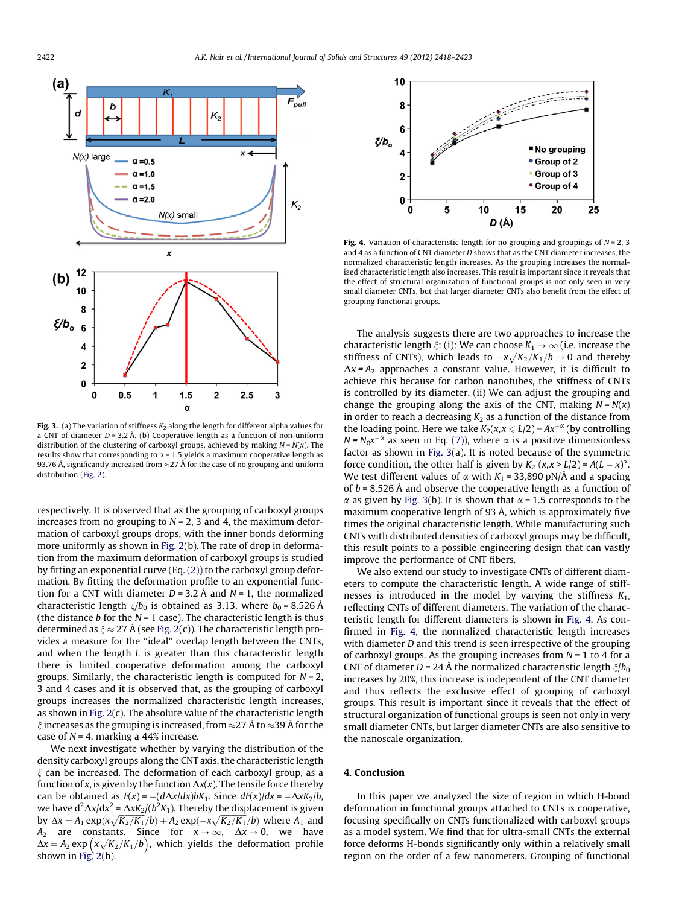

Fig. 3. (a) The variation of stiffness  $K_2$  along the length for different alpha values for a CNT of diameter  $D = 3.2$  Å. (b) Cooperative length as a function of non-uniform distribution of the clustering of carboxyl groups, achieved by making  $N = N(x)$ . The results show that corresponding to  $\alpha$  = 1.5 yields a maximum cooperative length as 93.76 Å, significantly increased from  $\approx$ 27 Å for the case of no grouping and uniform distribution [\(Fig. 2](#page-3-0)).

respectively. It is observed that as the grouping of carboxyl groups increases from no grouping to  $N = 2$ , 3 and 4, the maximum deformation of carboxyl groups drops, with the inner bonds deforming more uniformly as shown in [Fig. 2\(](#page-3-0)b). The rate of drop in deformation from the maximum deformation of carboxyl groups is studied by fitting an exponential curve (Eq. [\(2\)\)](#page-2-0) to the carboxyl group deformation. By fitting the deformation profile to an exponential function for a CNT with diameter  $D = 3.2$  Å and  $N = 1$ , the normalized characteristic length  $\zeta/b_0$  is obtained as 3.13, where  $b_0 = 8.526$  Å (the distance b for the  $N = 1$  case). The characteristic length is thus determined as  $\xi \approx 27$  Å (see [Fig. 2](#page-3-0)(c)). The characteristic length provides a measure for the ''ideal'' overlap length between the CNTs, and when the length  $L$  is greater than this characteristic length there is limited cooperative deformation among the carboxyl groups. Similarly, the characteristic length is computed for  $N = 2$ , 3 and 4 cases and it is observed that, as the grouping of carboxyl groups increases the normalized characteristic length increases, as shown in [Fig. 2](#page-3-0)(c). The absolute value of the characteristic length  $\xi$  increases as the grouping is increased, from  $\approx$ 27 Å to  $\approx$ 39 Å for the case of  $N = 4$ , marking a 44% increase.

We next investigate whether by varying the distribution of the density carboxyl groups along the CNT axis, the characteristic length  $\xi$  can be increased. The deformation of each carboxyl group, as a function of x, is given by the function  $\Delta x(x)$ . The tensile force thereby can be obtained as  $F(x) = -(d\Delta x/dx)bK_1$ . Since  $dF(x)/dx = -\Delta xK_2/b$ , we have d $\mathrm{d}^2\Delta x/\mathrm{d}x^2$  =  $\Delta xK_2/(b^2K_1)$ . Thereby the displacement is given by  $\Delta x = A_1 \exp(x \sqrt{K_2/K_1}/b) + A_2 \exp(-x \sqrt{K_2/K_1}/b)$  where  $A_1$  and A<sub>2</sub> are constants. Since for  $x \to \infty$ ,  $\Delta x \to 0$ , we have  $\Delta x = A_2 \exp \left( \frac{x\sqrt{K_2/K_1}}{b} \right)$ , which yields the deformation profile shown in [Fig. 2](#page-3-0)(b).



Fig. 4. Variation of characteristic length for no grouping and groupings of  $N = 2$ , 3 and 4 as a function of CNT diameter D shows that as the CNT diameter increases, the normalized characteristic length increases. As the grouping increases the normalized characteristic length also increases. This result is important since it reveals that the effect of structural organization of functional groups is not only seen in very small diameter CNTs, but that larger diameter CNTs also benefit from the effect of grouping functional groups.

The analysis suggests there are two approaches to increase the characteristic length  $\xi$ : (i): We can choose  $K_1 \rightarrow \infty$  (i.e. increase the stiffness of CNTs), which leads to  $-x\sqrt{K_2/K_1}/b \to 0$  and thereby  $\Delta x = A_2$  approaches a constant value. However, it is difficult to achieve this because for carbon nanotubes, the stiffness of CNTs is controlled by its diameter. (ii) We can adjust the grouping and change the grouping along the axis of the CNT, making  $N = N(x)$ in order to reach a decreasing  $K_2$  as a function of the distance from the loading point. Here we take  $K_2(x, x \le L/2) = Ax^{-\alpha}$  (by controlling  $N = N_0 x^{-\alpha}$  as seen in Eq. [\(7\)](#page-3-0)), where  $\alpha$  is a positive dimensionless factor as shown in Fig. 3(a). It is noted because of the symmetric force condition, the other half is given by  $K_2$  (x,x > L/2) =  $A(L - x)^\alpha$ . We test different values of  $\alpha$  with  $K_1$  = 33,890 pN/Å and a spacing of  $b = 8.526$  Å and observe the cooperative length as a function of  $\alpha$  as given by Fig. 3(b). It is shown that  $\alpha$  = 1.5 corresponds to the maximum cooperative length of 93 Å, which is approximately five times the original characteristic length. While manufacturing such CNTs with distributed densities of carboxyl groups may be difficult, this result points to a possible engineering design that can vastly improve the performance of CNT fibers.

We also extend our study to investigate CNTs of different diameters to compute the characteristic length. A wide range of stiffnesses is introduced in the model by varying the stiffness  $K_1$ , reflecting CNTs of different diameters. The variation of the characteristic length for different diameters is shown in Fig. 4. As confirmed in Fig. 4, the normalized characteristic length increases with diameter *D* and this trend is seen irrespective of the grouping of carboxyl groups. As the grouping increases from  $N = 1$  to 4 for a CNT of diameter D = 24 Å the normalized characteristic length  $\zeta/b_0$ increases by 20%, this increase is independent of the CNT diameter and thus reflects the exclusive effect of grouping of carboxyl groups. This result is important since it reveals that the effect of structural organization of functional groups is seen not only in very small diameter CNTs, but larger diameter CNTs are also sensitive to the nanoscale organization.

### 4. Conclusion

In this paper we analyzed the size of region in which H-bond deformation in functional groups attached to CNTs is cooperative, focusing specifically on CNTs functionalized with carboxyl groups as a model system. We find that for ultra-small CNTs the external force deforms H-bonds significantly only within a relatively small region on the order of a few nanometers. Grouping of functional